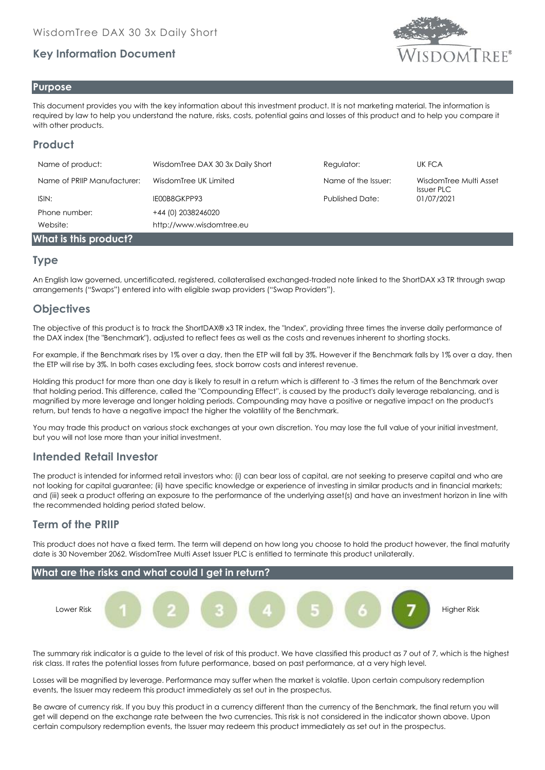# **Key Information Document**



#### **Purpose**

This document provides you with the key information about this investment product. It is not marketing material. The information is required by law to help you understand the nature, risks, costs, potential gains and losses of this product and to help you compare it with other products.

# **Product**

| Name of product:            | WisdomTree DAX 30 3x Daily Short | Regulator:             | UK FCA                                      |
|-----------------------------|----------------------------------|------------------------|---------------------------------------------|
| Name of PRIIP Manufacturer: | WisdomTree UK Limited            | Name of the Issuer:    | WisdomTree Multi Asset<br><b>Issuer PLC</b> |
| ISIN:                       | IE00B8GKPP93                     | <b>Published Date:</b> | 01/07/2021                                  |
| Phone number:               | +44 (0) 2038246020               |                        |                                             |
| Website:                    | http://www.wisdomtree.eu         |                        |                                             |
| What is this product?       |                                  |                        |                                             |

#### **Type**

An English law governed, uncertificated, registered, collateralised exchanged-traded note linked to the ShortDAX x3 TR through swap arrangements ("Swaps") entered into with eligible swap providers ("Swap Providers").

# **Objectives**

The objective of this product is to track the ShortDAX® x3 TR index, the "Index", providing three times the inverse daily performance of the DAX index (the "Benchmark"), adjusted to reflect fees as well as the costs and revenues inherent to shorting stocks.

For example, if the Benchmark rises by 1% over a day, then the ETP will fall by 3%. However if the Benchmark falls by 1% over a day, then the ETP will rise by 3%. In both cases excluding fees, stock borrow costs and interest revenue.

Holding this product for more than one day is likely to result in a return which is different to -3 times the return of the Benchmark over that holding period. This difference, called the ''Compounding Effect'', is caused by the product's daily leverage rebalancing, and is magnified by more leverage and longer holding periods. Compounding may have a positive or negative impact on the product's return, but tends to have a negative impact the higher the volatility of the Benchmark.

You may trade this product on various stock exchanges at your own discretion. You may lose the full value of your initial investment, but you will not lose more than your initial investment.

## **Intended Retail Investor**

The product is intended for informed retail investors who: (i) can bear loss of capital, are not seeking to preserve capital and who are not looking for capital guarantee; (ii) have specific knowledge or experience of investing in similar products and in financial markets; and (iii) seek a product offering an exposure to the performance of the underlying asset(s) and have an investment horizon in line with the recommended holding period stated below.

## **Term of the PRIIP**

This product does not have a fixed term. The term will depend on how long you choose to hold the product however, the final maturity date is 30 November 2062. WisdomTree Multi Asset Issuer PLC is entitled to terminate this product unilaterally.



The summary risk indicator is a guide to the level of risk of this product. We have classified this product as 7 out of 7, which is the highest risk class. It rates the potential losses from future performance, based on past performance, at a very high level.

Losses will be magnified by leverage. Performance may suffer when the market is volatile. Upon certain compulsory redemption events, the Issuer may redeem this product immediately as set out in the prospectus.

Be aware of currency risk. If you buy this product in a currency different than the currency of the Benchmark, the final return you will get will depend on the exchange rate between the two currencies. This risk is not considered in the indicator shown above. Upon certain compulsory redemption events, the Issuer may redeem this product immediately as set out in the prospectus.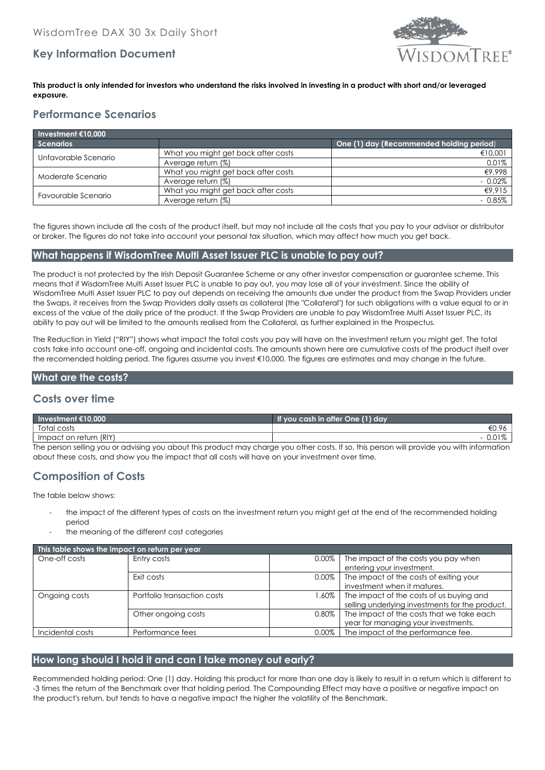# **Key Information Document**



#### **This product is only intended for investors who understand the risks involved in investing in a product with short and/or leveraged exposure.**

# **Performance Scenarios**

| Investment $€10,000$ |                                     |                                          |  |  |
|----------------------|-------------------------------------|------------------------------------------|--|--|
| <b>Scenarios</b>     |                                     | One (1) day (Recommended holding period) |  |  |
| Unfavorable Scenario | What you might get back after costs | €10,001                                  |  |  |
|                      | Average return (%)                  | 0.01%                                    |  |  |
| Moderate Scenario    | What you might get back after costs | €9,998                                   |  |  |
|                      | Average return (%)                  | $-0.02\%$                                |  |  |
| Favourable Scenario  | What you might get back after costs | €9,915                                   |  |  |
|                      | Average return (%)                  | $-0.85\%$                                |  |  |

The figures shown include all the costs of the product itself, but may not include all the costs that you pay to your advisor or distributor or broker. The figures do not take into account your personal tax situation, which may affect how much you get back.

#### **What happens if WisdomTree Multi Asset Issuer PLC is unable to pay out?**

The product is not protected by the Irish Deposit Guarantee Scheme or any other investor compensation or guarantee scheme. This means that if WisdomTree Multi Asset Issuer PLC is unable to pay out, you may lose all of your investment. Since the ability of WisdomTree Multi Asset Issuer PLC to pay out depends on receiving the amounts due under the product from the Swap Providers under the Swaps, it receives from the Swap Providers daily assets as collateral (the "Collateral") for such obligations with a value equal to or in excess of the value of the daily price of the product. If the Swap Providers are unable to pay WisdomTree Multi Asset Issuer PLC, its ability to pay out will be limited to the amounts realised from the Collateral, as further explained in the Prospectus.

The Reduction in Yield ("RIY") shows what impact the total costs you pay will have on the investment return you might get. The total costs take into account one-off, ongoing and incidental costs. The amounts shown here are cumulative costs of the product itself over the recomended holding period. The figures assume you invest €10,000. The figures are estimates and may change in the future.

#### **What are the costs?**

## **Costs over time**

| Investment $$10,000$                                                                                                                       | If you cash in after One (1) day |  |
|--------------------------------------------------------------------------------------------------------------------------------------------|----------------------------------|--|
| Total costs                                                                                                                                |                                  |  |
| Impact on return (RIY)                                                                                                                     |                                  |  |
| The person selling you or advising you about this product may charge you other costs. If so, this person will provide you with information |                                  |  |

The person selling you or advising you about this product may charge you other costs. If so, this person will provide you with information about these costs, and show you the impact that all costs will have on your investment over time.

# **Composition of Costs**

The table below shows:

- the impact of the different types of costs on the investment return you might get at the end of the recommended holding period
- the meaning of the different cost categories

| This table shows the impact on return per year |                             |          |                                                 |  |  |
|------------------------------------------------|-----------------------------|----------|-------------------------------------------------|--|--|
| One-off costs                                  | Entry costs                 | $0.00\%$ | The impact of the costs you pay when            |  |  |
|                                                |                             |          | entering your investment.                       |  |  |
|                                                | Exit costs                  | 0.00%    | The impact of the costs of exiting your         |  |  |
|                                                |                             |          | investment when it matures.                     |  |  |
| Ongoing costs                                  | Portfolio transaction costs | 1.60% I  | The impact of the costs of us buying and        |  |  |
|                                                |                             |          | selling underlying investments for the product. |  |  |
|                                                | Other ongoing costs         | 0.80%    | The impact of the costs that we take each       |  |  |
|                                                |                             |          | year for managing your investments.             |  |  |
| Incidental costs                               | Performance fees            | $0.00\%$ | The impact of the performance fee.              |  |  |

## **How long should I hold it and can I take money out early?**

Recommended holding period: One (1) day. Holding this product for more than one day is likely to result in a return which is different to -3 times the return of the Benchmark over that holding period. The Compounding Effect may have a positive or negative impact on the product's return, but tends to have a negative impact the higher the volatility of the Benchmark.